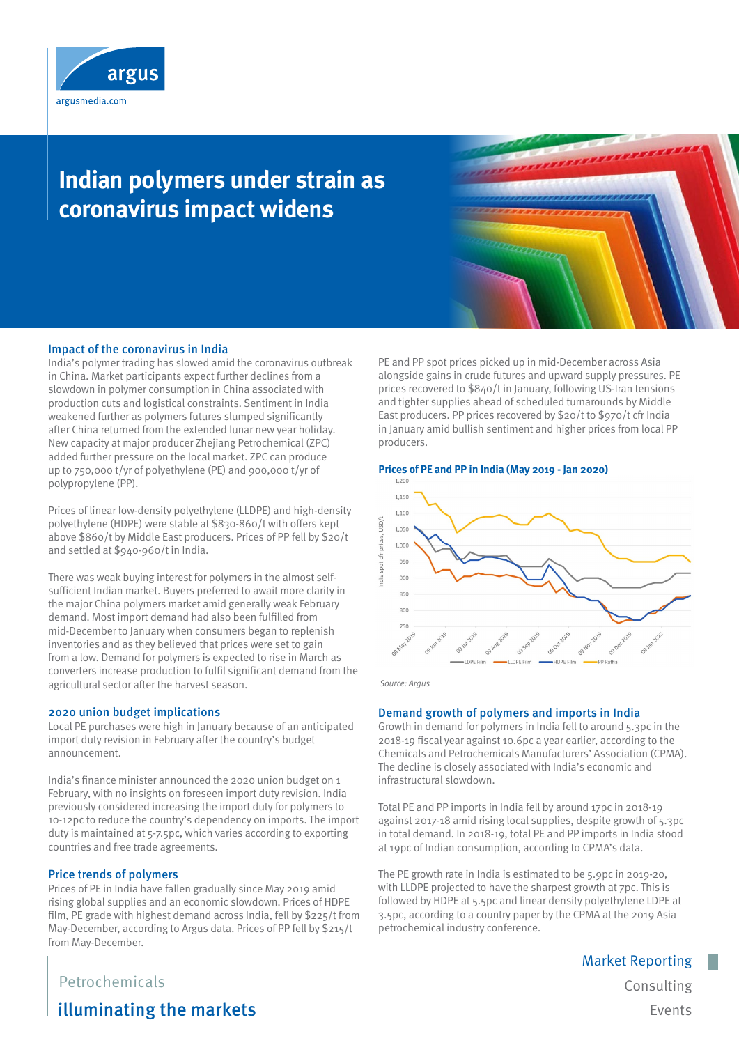

# **Indian polymers under strain as coronavirus impact widens**

#### Impact of the coronavirus in India

India's polymer trading has slowed amid the coronavirus outbreak in China. Market participants expect further declines from a slowdown in polymer consumption in China associated with production cuts and logistical constraints. Sentiment in India weakened further as polymers futures slumped significantly after China returned from the extended lunar new year holiday. New capacity at major producer Zhejiang Petrochemical (ZPC) added further pressure on the local market. ZPC can produce up to 750,000 t/yr of polyethylene (PE) and 900,000 t/yr of polypropylene (PP).

Prices of linear low-density polyethylene (LLDPE) and high-density polyethylene (HDPE) were stable at \$830-860/t with offers kept above \$860/t by Middle East producers. Prices of PP fell by \$20/t and settled at \$940-960/t in India.

There was weak buying interest for polymers in the almost selfsufficient Indian market. Buyers preferred to await more clarity in the major China polymers market amid generally weak February demand. Most import demand had also been fulfilled from mid-December to January when consumers began to replenish inventories and as they believed that prices were set to gain from a low. Demand for polymers is expected to rise in March as converters increase production to fulfil significant demand from the agricultural sector after the harvest season.

#### 2020 union budget implications

Local PE purchases were high in January because of an anticipated import duty revision in February after the country's budget announcement.

India's finance minister announced the 2020 union budget on 1 February, with no insights on foreseen import duty revision. India previously considered increasing the import duty for polymers to 10-12pc to reduce the country's dependency on imports. The import duty is maintained at 5-7.5pc, which varies according to exporting countries and free trade agreements.

#### Price trends of polymers

Prices of PE in India have fallen gradually since May 2019 amid rising global supplies and an economic slowdown. Prices of HDPE film, PE grade with highest demand across India, fell by \$225/t from May-December, according to Argus data. Prices of PP fell by \$215/t from May-December.

PE and PP spot prices picked up in mid-December across Asia alongside gains in crude futures and upward supply pressures. PE prices recovered to \$840/t in January, following US-Iran tensions and tighter supplies ahead of scheduled turnarounds by Middle East producers. PP prices recovered by \$20/t to \$970/t cfr India in January amid bullish sentiment and higher prices from local PP producers.

### **Prices of PE and PP in India (May 2019 - Jan 2020)**



Source: Argus

#### Demand growth of polymers and imports in India

Growth in demand for polymers in India fell to around 5.3pc in the 2018-19 fiscal year against 10.6pc a year earlier, according to the Chemicals and Petrochemicals Manufacturers' Association (CPMA). The decline is closely associated with India's economic and infrastructural slowdown.

Total PE and PP imports in India fell by around 17pc in 2018-19 against 2017-18 amid rising local supplies, despite growth of 5.3pc in total demand. In 2018-19, total PE and PP imports in India stood at 19pc of Indian consumption, according to CPMA's data.

The PE growth rate in India is estimated to be 5.9pc in 2019-20, with LLDPE projected to have the sharpest growth at 7pc. This is followed by HDPE at 5.5pc and linear density polyethylene LDPE at 3.5pc, according to a country paper by the CPMA at the 2019 Asia petrochemical industry conference.

## Petrochemicals

illuminating the markets

Consulting Events

Market Reporting